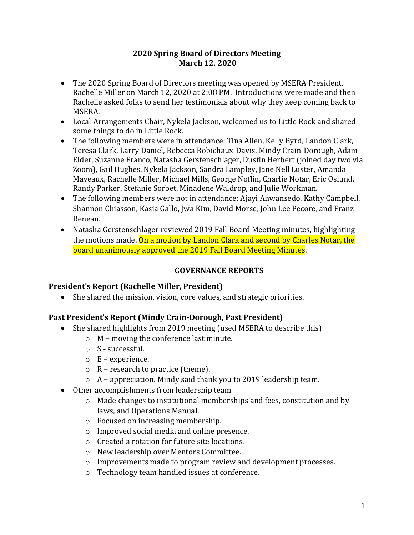#### **2020 Spring Board of Directors Meeting March 12, 2020**

- The 2020 Spring Board of Directors meeting was opened by MSERA President, Rachelle Miller on March 12, 2020 at 2:08 PM. Introductions were made and then Rachelle asked folks to send her testimonials about why they keep coming back to MSERA.
- Local Arrangements Chair, Nykela Jackson, welcomed us to Little Rock and shared some things to do in Little Rock.
- The following members were in attendance: Tina Allen, Kelly Byrd, Landon Clark, Teresa Clark, Larry Daniel, Rebecca Robichaux-Davis, Mindy Crain-Dorough, Adam Elder, Suzanne Franco, Natasha Gerstenschlager, Dustin Herbert (joined day two via Zoom), Gail Hughes, Nykela Jackson, Sandra Lampley, Jane Nell Luster, Amanda Mayeaux, Rachelle Miller, Michael Mills, George Noflin, Charlie Notar, Eric Oslund, Randy Parker, Stefanie Sorbet, Minadene Waldrop, and Julie Workman.
- The following members were not in attendance: Ajayi Anwansedo, Kathy Campbell, Shannon Chiasson, Kasia Gallo, Jwa Kim, David Morse, John Lee Pecore, and Franz Reneau.
- Natasha Gerstenschlager reviewed 2019 Fall Board Meeting minutes, highlighting the motions made. On a motion by Landon Clark and second by Charles Notar, the board unanimously approved the 2019 Fall Board Meeting Minutes.

### **GOVERNANCE REPORTS**

### **President's Report (Rachelle Miller, President)**

• She shared the mission, vision, core values, and strategic priorities.

### **Past President's Report (Mindy Crain-Dorough, Past President)**

- She shared highlights from 2019 meeting (used MSERA to describe this)
	- o M moving the conference last minute.
	- o S successful.
	- $\circ$  E experience.
	- $\circ$  R research to practice (theme).
	- $\circ$  A appreciation. Mindy said thank you to 2019 leadership team.
- Other accomplishments from leadership team
	- o Made changes to institutional memberships and fees, constitution and bylaws, and Operations Manual.
	- o Focused on increasing membership.
	- o Improved social media and online presence.
	- o Created a rotation for future site locations.
	- o New leadership over Mentors Committee.
	- o Improvements made to program review and development processes.
	- o Technology team handled issues at conference.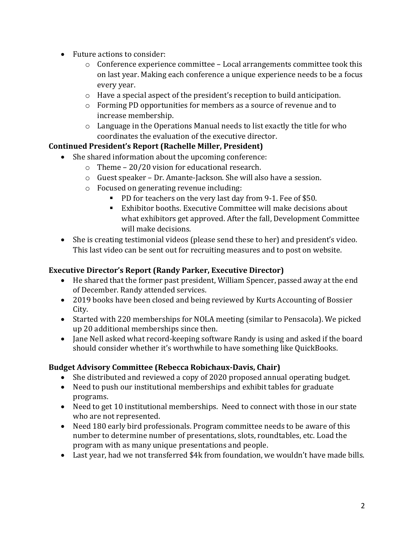- Future actions to consider:
	- $\circ$  Conference experience committee Local arrangements committee took this on last year. Making each conference a unique experience needs to be a focus every year.
	- o Have a special aspect of the president's reception to build anticipation.
	- o Forming PD opportunities for members as a source of revenue and to increase membership.
	- o Language in the Operations Manual needs to list exactly the title for who coordinates the evaluation of the executive director.

# **Continued President's Report (Rachelle Miller, President)**

- She shared information about the upcoming conference:
	- o Theme 20/20 vision for educational research.
	- o Guest speaker Dr. Amante-Jackson. She will also have a session.
	- o Focused on generating revenue including:
		- PD for teachers on the very last day from 9-1. Fee of \$50.
		- Exhibitor booths. Executive Committee will make decisions about what exhibitors get approved. After the fall, Development Committee will make decisions.
- She is creating testimonial videos (please send these to her) and president's video. This last video can be sent out for recruiting measures and to post on website.

## **Executive Director's Report (Randy Parker, Executive Director)**

- He shared that the former past president, William Spencer, passed away at the end of December. Randy attended services.
- 2019 books have been closed and being reviewed by Kurts Accounting of Bossier City.
- Started with 220 memberships for NOLA meeting (similar to Pensacola). We picked up 20 additional memberships since then.
- Jane Nell asked what record-keeping software Randy is using and asked if the board should consider whether it's worthwhile to have something like QuickBooks.

# **Budget Advisory Committee (Rebecca Robichaux-Davis, Chair)**

- She distributed and reviewed a copy of 2020 proposed annual operating budget.
- Need to push our institutional memberships and exhibit tables for graduate programs.
- Need to get 10 institutional memberships. Need to connect with those in our state who are not represented.
- Need 180 early bird professionals. Program committee needs to be aware of this number to determine number of presentations, slots, roundtables, etc. Load the program with as many unique presentations and people.
- Last year, had we not transferred \$4k from foundation, we wouldn't have made bills.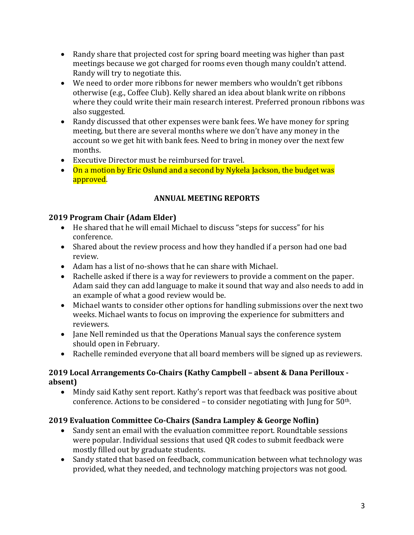- Randy share that projected cost for spring board meeting was higher than past meetings because we got charged for rooms even though many couldn't attend. Randy will try to negotiate this.
- We need to order more ribbons for newer members who wouldn't get ribbons otherwise (e.g., Coffee Club). Kelly shared an idea about blank write on ribbons where they could write their main research interest. Preferred pronoun ribbons was also suggested.
- Randy discussed that other expenses were bank fees. We have money for spring meeting, but there are several months where we don't have any money in the account so we get hit with bank fees. Need to bring in money over the next few months.
- Executive Director must be reimbursed for travel.
- On a motion by Eric Oslund and a second by Nykela Jackson, the budget was approved.

## **ANNUAL MEETING REPORTS**

### **2019 Program Chair (Adam Elder)**

- He shared that he will email Michael to discuss "steps for success" for his conference.
- Shared about the review process and how they handled if a person had one bad review.
- Adam has a list of no-shows that he can share with Michael.
- Rachelle asked if there is a way for reviewers to provide a comment on the paper. Adam said they can add language to make it sound that way and also needs to add in an example of what a good review would be.
- Michael wants to consider other options for handling submissions over the next two weeks. Michael wants to focus on improving the experience for submitters and reviewers.
- Jane Nell reminded us that the Operations Manual says the conference system should open in February.
- Rachelle reminded everyone that all board members will be signed up as reviewers.

### **2019 Local Arrangements Co-Chairs (Kathy Campbell – absent & Dana Perilloux absent)**

• Mindy said Kathy sent report. Kathy's report was that feedback was positive about conference. Actions to be considered  $-$  to consider negotiating with Jung for  $50<sup>th</sup>$ .

# **2019 Evaluation Committee Co-Chairs (Sandra Lampley & George Noflin)**

- Sandy sent an email with the evaluation committee report. Roundtable sessions were popular. Individual sessions that used QR codes to submit feedback were mostly filled out by graduate students.
- Sandy stated that based on feedback, communication between what technology was provided, what they needed, and technology matching projectors was not good.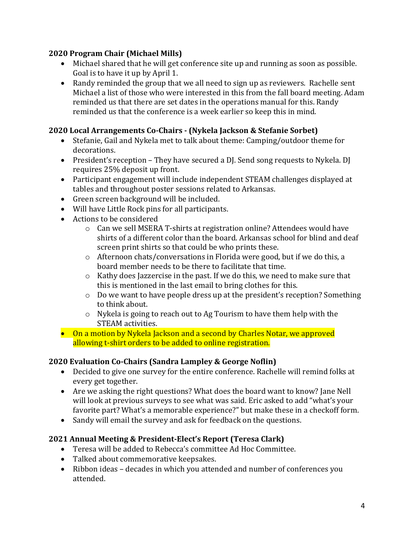### **2020 Program Chair (Michael Mills)**

- Michael shared that he will get conference site up and running as soon as possible. Goal is to have it up by April 1.
- Randy reminded the group that we all need to sign up as reviewers. Rachelle sent Michael a list of those who were interested in this from the fall board meeting. Adam reminded us that there are set dates in the operations manual for this. Randy reminded us that the conference is a week earlier so keep this in mind.

### **2020 Local Arrangements Co-Chairs - (Nykela Jackson & Stefanie Sorbet)**

- Stefanie, Gail and Nykela met to talk about theme: Camping/outdoor theme for decorations.
- President's reception They have secured a DJ. Send song requests to Nykela. DJ requires 25% deposit up front.
- Participant engagement will include independent STEAM challenges displayed at tables and throughout poster sessions related to Arkansas.
- Green screen background will be included.
- Will have Little Rock pins for all participants.
- Actions to be considered
	- o Can we sell MSERA T-shirts at registration online? Attendees would have shirts of a different color than the board. Arkansas school for blind and deaf screen print shirts so that could be who prints these.
	- o Afternoon chats/conversations in Florida were good, but if we do this, a board member needs to be there to facilitate that time.
	- o Kathy does Jazzercise in the past. If we do this, we need to make sure that this is mentioned in the last email to bring clothes for this.
	- o Do we want to have people dress up at the president's reception? Something to think about.
	- o Nykela is going to reach out to Ag Tourism to have them help with the STEAM activities.
- On a motion by Nykela Jackson and a second by Charles Notar, we approved allowing t-shirt orders to be added to online registration.

### **2020 Evaluation Co-Chairs (Sandra Lampley & George Noflin)**

- Decided to give one survey for the entire conference. Rachelle will remind folks at every get together.
- Are we asking the right questions? What does the board want to know? Jane Nell will look at previous surveys to see what was said. Eric asked to add "what's your favorite part? What's a memorable experience?" but make these in a checkoff form.
- Sandy will email the survey and ask for feedback on the questions.

# **2021 Annual Meeting & President-Elect's Report (Teresa Clark)**

- Teresa will be added to Rebecca's committee Ad Hoc Committee.
- Talked about commemorative keepsakes.
- Ribbon ideas decades in which you attended and number of conferences you attended.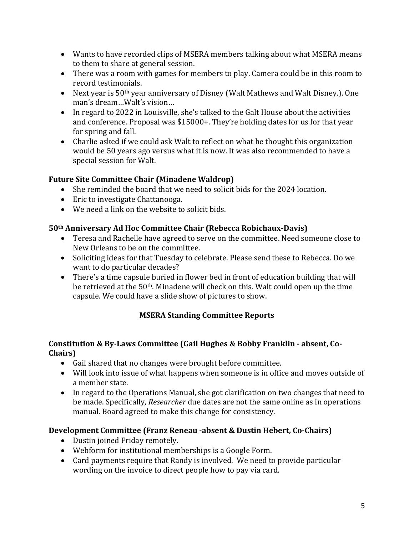- Wants to have recorded clips of MSERA members talking about what MSERA means to them to share at general session.
- There was a room with games for members to play. Camera could be in this room to record testimonials.
- Next year is 50<sup>th</sup> year anniversary of Disney (Walt Mathews and Walt Disney.). One man's dream…Walt's vision…
- In regard to 2022 in Louisville, she's talked to the Galt House about the activities and conference. Proposal was \$15000+. They're holding dates for us for that year for spring and fall.
- Charlie asked if we could ask Walt to reflect on what he thought this organization would be 50 years ago versus what it is now. It was also recommended to have a special session for Walt.

## **Future Site Committee Chair (Minadene Waldrop)**

- She reminded the board that we need to solicit bids for the 2024 location.
- Eric to investigate Chattanooga.
- We need a link on the website to solicit bids.

## **50th Anniversary Ad Hoc Committee Chair (Rebecca Robichaux-Davis)**

- Teresa and Rachelle have agreed to serve on the committee. Need someone close to New Orleans to be on the committee.
- Soliciting ideas for that Tuesday to celebrate. Please send these to Rebecca. Do we want to do particular decades?
- There's a time capsule buried in flower bed in front of education building that will be retrieved at the 50<sup>th</sup>. Minadene will check on this. Walt could open up the time capsule. We could have a slide show of pictures to show.

# **MSERA Standing Committee Reports**

### **Constitution & By-Laws Committee (Gail Hughes & Bobby Franklin - absent, Co-Chairs)**

- Gail shared that no changes were brought before committee.
- Will look into issue of what happens when someone is in office and moves outside of a member state.
- In regard to the Operations Manual, she got clarification on two changes that need to be made. Specifically, *Researcher* due dates are not the same online as in operations manual. Board agreed to make this change for consistency.

# **Development Committee (Franz Reneau -absent & Dustin Hebert, Co-Chairs)**

- Dustin joined Friday remotely.
- Webform for institutional memberships is a Google Form.
- Card payments require that Randy is involved. We need to provide particular wording on the invoice to direct people how to pay via card.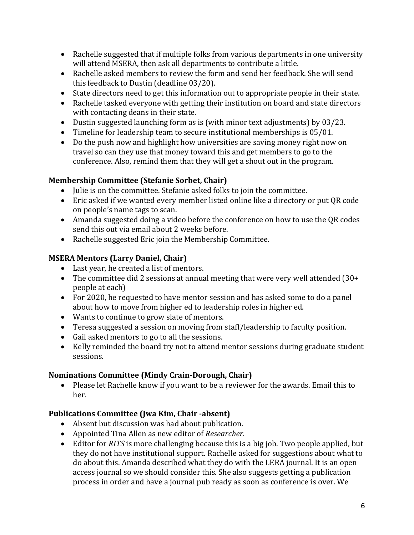- Rachelle suggested that if multiple folks from various departments in one university will attend MSERA, then ask all departments to contribute a little.
- Rachelle asked members to review the form and send her feedback. She will send this feedback to Dustin (deadline 03/20).
- State directors need to get this information out to appropriate people in their state.
- Rachelle tasked everyone with getting their institution on board and state directors with contacting deans in their state.
- Dustin suggested launching form as is (with minor text adjustments) by 03/23.
- Timeline for leadership team to secure institutional memberships is 05/01.
- Do the push now and highlight how universities are saving money right now on travel so can they use that money toward this and get members to go to the conference. Also, remind them that they will get a shout out in the program.

# **Membership Committee (Stefanie Sorbet, Chair)**

- Julie is on the committee. Stefanie asked folks to join the committee.
- Eric asked if we wanted every member listed online like a directory or put QR code on people's name tags to scan.
- Amanda suggested doing a video before the conference on how to use the QR codes send this out via email about 2 weeks before.
- Rachelle suggested Eric join the Membership Committee.

# **MSERA Mentors (Larry Daniel, Chair)**

- Last year, he created a list of mentors.
- The committee did 2 sessions at annual meeting that were very well attended (30+ people at each)
- For 2020, he requested to have mentor session and has asked some to do a panel about how to move from higher ed to leadership roles in higher ed.
- Wants to continue to grow slate of mentors.
- Teresa suggested a session on moving from staff/leadership to faculty position.
- Gail asked mentors to go to all the sessions.
- Kelly reminded the board try not to attend mentor sessions during graduate student sessions.

# **Nominations Committee (Mindy Crain-Dorough, Chair)**

• Please let Rachelle know if you want to be a reviewer for the awards. Email this to her.

# **Publications Committee (Jwa Kim, Chair -absent)**

- Absent but discussion was had about publication.
- Appointed Tina Allen as new editor of *Researcher.*
- Editor for *RITS* is more challenging because this is a big job. Two people applied, but they do not have institutional support. Rachelle asked for suggestions about what to do about this. Amanda described what they do with the LERA journal. It is an open access journal so we should consider this. She also suggests getting a publication process in order and have a journal pub ready as soon as conference is over. We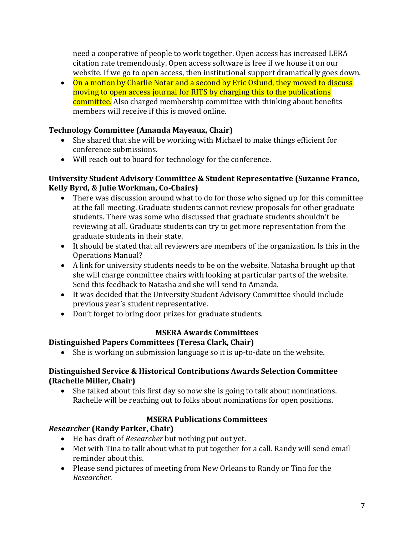need a cooperative of people to work together. Open access has increased LERA citation rate tremendously. Open access software is free if we house it on our website. If we go to open access, then institutional support dramatically goes down.

• On a motion by Charlie Notar and a second by Eric Oslund, they moved to discuss moving to open access journal for RITS by charging this to the publications committee. Also charged membership committee with thinking about benefits members will receive if this is moved online.

## **Technology Committee (Amanda Mayeaux, Chair)**

- She shared that she will be working with Michael to make things efficient for conference submissions.
- Will reach out to board for technology for the conference.

#### **University Student Advisory Committee & Student Representative (Suzanne Franco, Kelly Byrd, & Julie Workman, Co-Chairs)**

- There was discussion around what to do for those who signed up for this committee at the fall meeting. Graduate students cannot review proposals for other graduate students. There was some who discussed that graduate students shouldn't be reviewing at all. Graduate students can try to get more representation from the graduate students in their state.
- It should be stated that all reviewers are members of the organization. Is this in the Operations Manual?
- A link for university students needs to be on the website. Natasha brought up that she will charge committee chairs with looking at particular parts of the website. Send this feedback to Natasha and she will send to Amanda.
- It was decided that the University Student Advisory Committee should include previous year's student representative.
- Don't forget to bring door prizes for graduate students.

### **MSERA Awards Committees**

# **Distinguished Papers Committees (Teresa Clark, Chair)**

• She is working on submission language so it is up-to-date on the website.

### **Distinguished Service & Historical Contributions Awards Selection Committee (Rachelle Miller, Chair)**

• She talked about this first day so now she is going to talk about nominations. Rachelle will be reaching out to folks about nominations for open positions.

# **MSERA Publications Committees**

# *Researcher* **(Randy Parker, Chair)**

- He has draft of *Researcher* but nothing put out yet.
- Met with Tina to talk about what to put together for a call. Randy will send email reminder about this.
- Please send pictures of meeting from New Orleans to Randy or Tina for the *Researcher.*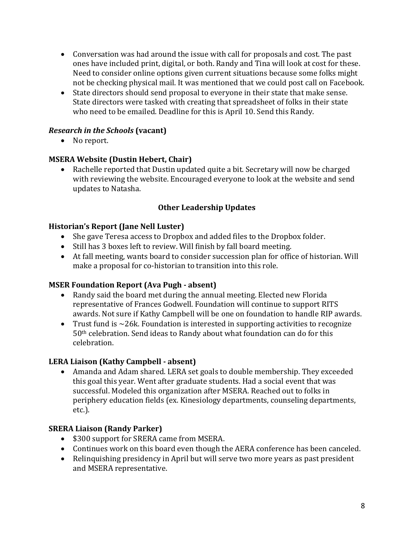- Conversation was had around the issue with call for proposals and cost. The past ones have included print, digital, or both. Randy and Tina will look at cost for these. Need to consider online options given current situations because some folks might not be checking physical mail. It was mentioned that we could post call on Facebook.
- State directors should send proposal to everyone in their state that make sense. State directors were tasked with creating that spreadsheet of folks in their state who need to be emailed. Deadline for this is April 10. Send this Randy.

## *Research in the Schools* **(vacant)**

• No report.

### **MSERA Website (Dustin Hebert, Chair)**

• Rachelle reported that Dustin updated quite a bit. Secretary will now be charged with reviewing the website. Encouraged everyone to look at the website and send updates to Natasha.

### **Other Leadership Updates**

#### **Historian's Report (Jane Nell Luster)**

- She gave Teresa access to Dropbox and added files to the Dropbox folder.
- Still has 3 boxes left to review. Will finish by fall board meeting.
- At fall meeting, wants board to consider succession plan for office of historian. Will make a proposal for co-historian to transition into this role.

#### **MSER Foundation Report (Ava Pugh - absent)**

- Randy said the board met during the annual meeting. Elected new Florida representative of Frances Godwell. Foundation will continue to support RITS awards. Not sure if Kathy Campbell will be one on foundation to handle RIP awards.
- Trust fund is  $\sim$  26k. Foundation is interested in supporting activities to recognize 50th celebration. Send ideas to Randy about what foundation can do for this celebration.

### **LERA Liaison (Kathy Campbell - absent)**

• Amanda and Adam shared. LERA set goals to double membership. They exceeded this goal this year. Went after graduate students. Had a social event that was successful. Modeled this organization after MSERA. Reached out to folks in periphery education fields (ex. Kinesiology departments, counseling departments, etc.).

### **SRERA Liaison (Randy Parker)**

- \$300 support for SRERA came from MSERA.
- Continues work on this board even though the AERA conference has been canceled.
- Relinquishing presidency in April but will serve two more years as past president and MSERA representative.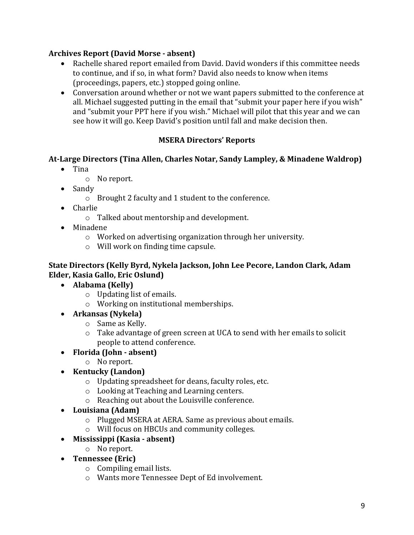## **Archives Report (David Morse - absent)**

- Rachelle shared report emailed from David. David wonders if this committee needs to continue, and if so, in what form? David also needs to know when items (proceedings, papers, etc.) stopped going online.
- Conversation around whether or not we want papers submitted to the conference at all. Michael suggested putting in the email that "submit your paper here if you wish" and "submit your PPT here if you wish." Michael will pilot that this year and we can see how it will go. Keep David's position until fall and make decision then.

## **MSERA Directors' Reports**

## **At-Large Directors (Tina Allen, Charles Notar, Sandy Lampley, & Minadene Waldrop)**

- Tina
	- o No report.
- Sandy
	- o Brought 2 faculty and 1 student to the conference.
- Charlie
	- o Talked about mentorship and development.
- Minadene
	- o Worked on advertising organization through her university.
	- o Will work on finding time capsule.

#### **State Directors (Kelly Byrd, Nykela Jackson, John Lee Pecore, Landon Clark, Adam Elder, Kasia Gallo, Eric Oslund)**

- **Alabama (Kelly)**
	- o Updating list of emails.
	- o Working on institutional memberships.
- **Arkansas (Nykela)**
	- o Same as Kelly.
	- o Take advantage of green screen at UCA to send with her emails to solicit people to attend conference.
- **Florida (John - absent)**
	- o No report.
- **Kentucky (Landon)**
	- o Updating spreadsheet for deans, faculty roles, etc.
	- o Looking at Teaching and Learning centers.
	- o Reaching out about the Louisville conference.
- **Louisiana (Adam)**
	- o Plugged MSERA at AERA. Same as previous about emails.
	- o Will focus on HBCUs and community colleges.
- **Mississippi (Kasia - absent)**
	- o No report.
- **Tennessee (Eric)**
	- o Compiling email lists.
	- o Wants more Tennessee Dept of Ed involvement.